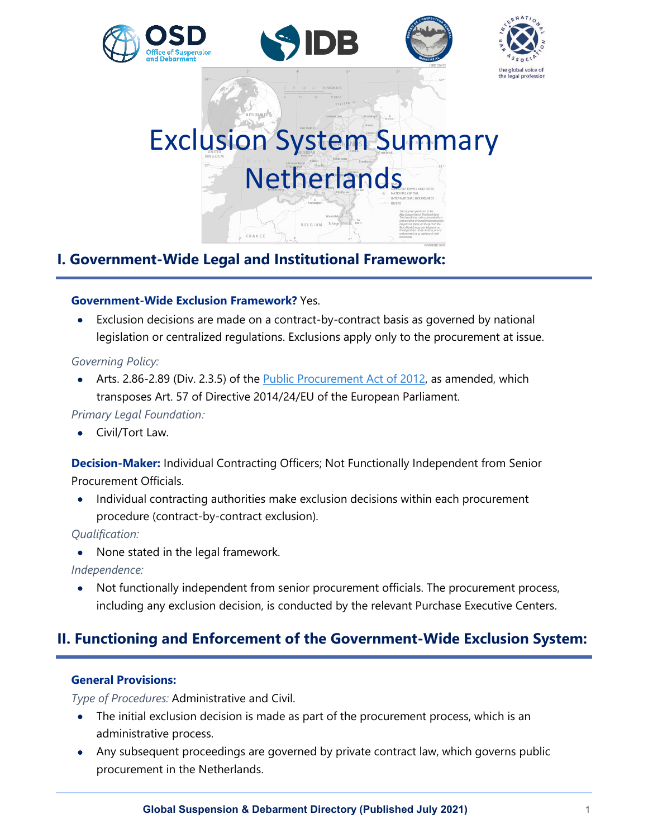







# **I. Government-Wide Legal and Institutional Framework:**

## **Government-Wide Exclusion Framework?** Yes.

• Exclusion decisions are made on a contract-by-contract basis as governed by national legislation or centralized regulations. Exclusions apply only to the procurement at issue.

## *Governing Policy:*

• Arts. 2.86-2.89 (Div. 2.3.5) of the [Public Procurement Act of 2012,](https://wetten.overheid.nl/BWBR0032203/2019-04-18#Deel2) as amended, which transposes Art. 57 of Directive 2014/24/EU of the European Parliament.

## *Primary Legal Foundation:*

• Civil/Tort Law.

**Decision-Maker:** Individual Contracting Officers; Not Functionally Independent from Senior Procurement Officials.

• Individual contracting authorities make exclusion decisions within each procurement procedure (contract-by-contract exclusion).

*Qualification:*

• None stated in the legal framework.

*Independence:*

• Not functionally independent from senior procurement officials. The procurement process, including any exclusion decision, is conducted by the relevant Purchase Executive Centers.

# **II. Functioning and Enforcement of the Government-Wide Exclusion System:**

## **General Provisions:**

*Type of Procedures:* Administrative and Civil.

- The initial exclusion decision is made as part of the procurement process, which is an administrative process.
- Any subsequent proceedings are governed by private contract law, which governs public procurement in the Netherlands.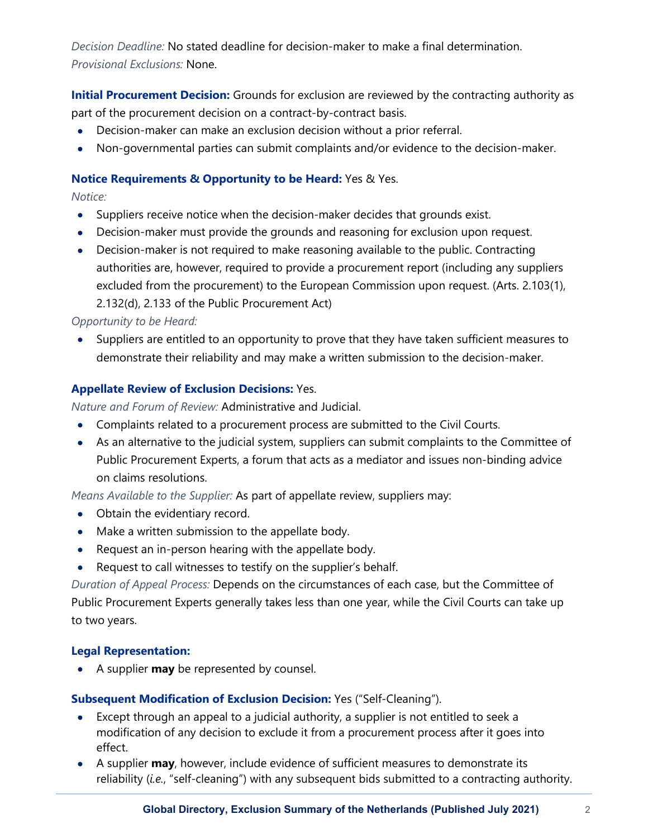*Decision Deadline:* No stated deadline for decision-maker to make a final determination. *Provisional Exclusions:* None.

**Initial Procurement Decision:** Grounds for exclusion are reviewed by the contracting authority as part of the procurement decision on a contract-by-contract basis.

- Decision-maker can make an exclusion decision without a prior referral.
- Non-governmental parties can submit complaints and/or evidence to the decision-maker.

## **Notice Requirements & Opportunity to be Heard:** Yes & Yes.

## *Notice:*

- Suppliers receive notice when the decision-maker decides that grounds exist.
- Decision-maker must provide the grounds and reasoning for exclusion upon request.
- Decision-maker is not required to make reasoning available to the public. Contracting authorities are, however, required to provide a procurement report (including any suppliers excluded from the procurement) to the European Commission upon request. (Arts. 2.103(1), 2.132(d), 2.133 of the Public Procurement Act)

## *Opportunity to be Heard:*

• Suppliers are entitled to an opportunity to prove that they have taken sufficient measures to demonstrate their reliability and may make a written submission to the decision-maker.

# **Appellate Review of Exclusion Decisions:** Yes.

*Nature and Forum of Review:* Administrative and Judicial.

- Complaints related to a procurement process are submitted to the Civil Courts.
- As an alternative to the judicial system, suppliers can submit complaints to the Committee of Public Procurement Experts, a forum that acts as a mediator and issues non-binding advice on claims resolutions.

*Means Available to the Supplier:* As part of appellate review, suppliers may:

- Obtain the evidentiary record.
- Make a written submission to the appellate body.
- Request an in-person hearing with the appellate body.
- Request to call witnesses to testify on the supplier's behalf.

*Duration of Appeal Process:* Depends on the circumstances of each case, but the Committee of Public Procurement Experts generally takes less than one year, while the Civil Courts can take up to two years.

## **Legal Representation:**

• A supplier **may** be represented by counsel.

# **Subsequent Modification of Exclusion Decision:** Yes ("Self-Cleaning").

- Except through an appeal to a judicial authority, a supplier is not entitled to seek a modification of any decision to exclude it from a procurement process after it goes into effect.
- A supplier **may**, however, include evidence of sufficient measures to demonstrate its reliability (*i.e.*, "self-cleaning") with any subsequent bids submitted to a contracting authority.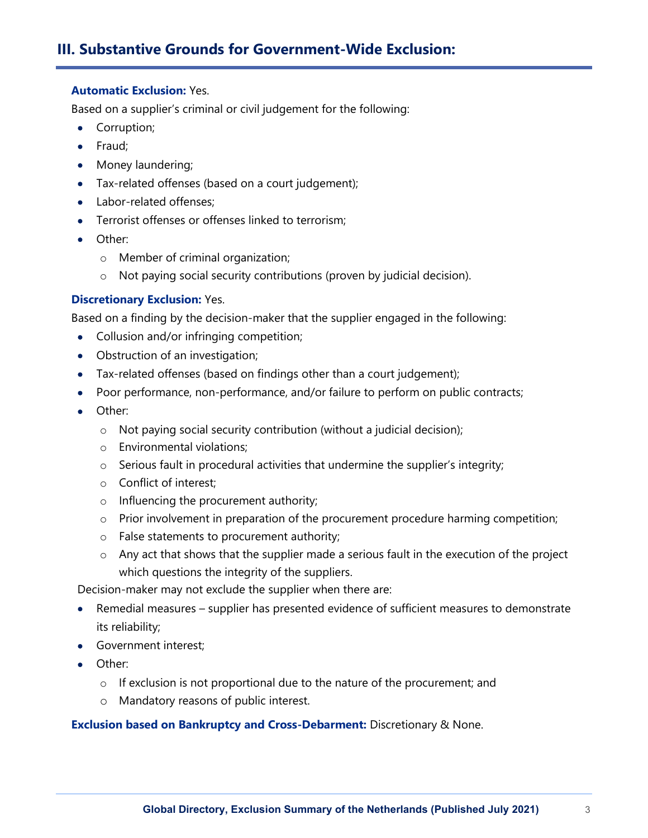# **III. Substantive Grounds for Government-Wide Exclusion:**

#### **Automatic Exclusion:** Yes.

Based on a supplier's criminal or civil judgement for the following:

- Corruption;
- Fraud;
- Money laundering;
- Tax-related offenses (based on a court judgement);
- Labor-related offenses:
- Terrorist offenses or offenses linked to terrorism;
- Other:
	- o Member of criminal organization;
	- o Not paying social security contributions (proven by judicial decision).

#### **Discretionary Exclusion:** Yes.

Based on a finding by the decision-maker that the supplier engaged in the following:

- Collusion and/or infringing competition;
- Obstruction of an investigation;
- Tax-related offenses (based on findings other than a court judgement);
- Poor performance, non-performance, and/or failure to perform on public contracts;
- Other:
	- o Not paying social security contribution (without a judicial decision);
	- o Environmental violations;
	- o Serious fault in procedural activities that undermine the supplier's integrity;
	- o Conflict of interest;
	- o Influencing the procurement authority;
	- o Prior involvement in preparation of the procurement procedure harming competition;
	- o False statements to procurement authority;
	- o Any act that shows that the supplier made a serious fault in the execution of the project which questions the integrity of the suppliers.

Decision-maker may not exclude the supplier when there are:

- Remedial measures supplier has presented evidence of sufficient measures to demonstrate its reliability;
- Government interest;
- Other:
	- o If exclusion is not proportional due to the nature of the procurement; and
	- o Mandatory reasons of public interest.

**Exclusion based on Bankruptcy and Cross-Debarment:** Discretionary & None.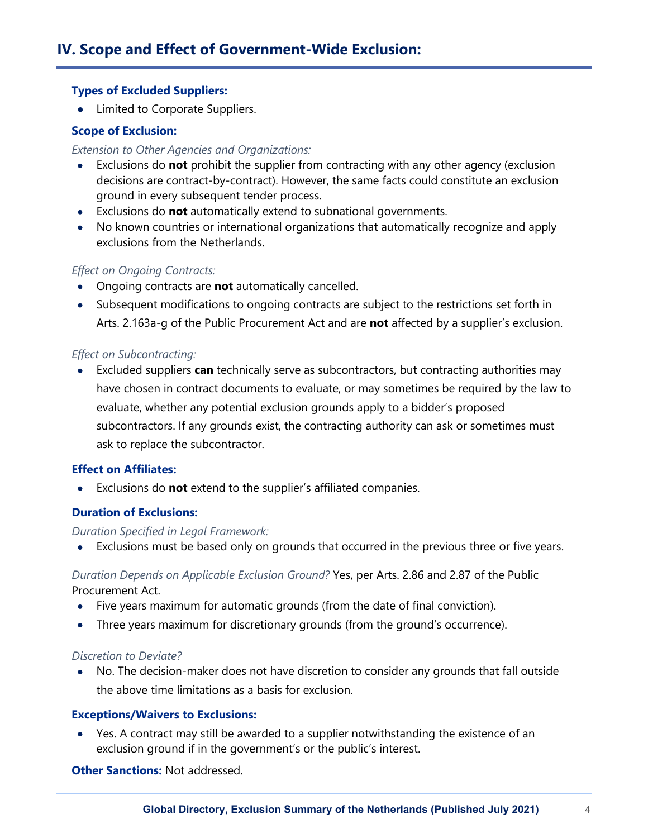## **Types of Excluded Suppliers:**

• Limited to Corporate Suppliers.

## **Scope of Exclusion:**

#### *Extension to Other Agencies and Organizations:*

- Exclusions do **not** prohibit the supplier from contracting with any other agency (exclusion decisions are contract-by-contract). However, the same facts could constitute an exclusion ground in every subsequent tender process.
- Exclusions do **not** automatically extend to subnational governments.
- No known countries or international organizations that automatically recognize and apply exclusions from the Netherlands.

#### *Effect on Ongoing Contracts:*

- Ongoing contracts are **not** automatically cancelled.
- Subsequent modifications to ongoing contracts are subject to the restrictions set forth in Arts. 2.163a-g of the Public Procurement Act and are **not** affected by a supplier's exclusion.

#### *Effect on Subcontracting:*

• Excluded suppliers **can** technically serve as subcontractors, but contracting authorities may have chosen in contract documents to evaluate, or may sometimes be required by the law to evaluate, whether any potential exclusion grounds apply to a bidder's proposed subcontractors. If any grounds exist, the contracting authority can ask or sometimes must ask to replace the subcontractor.

#### **Effect on Affiliates:**

• Exclusions do **not** extend to the supplier's affiliated companies.

## **Duration of Exclusions:**

#### *Duration Specified in Legal Framework:*

• Exclusions must be based only on grounds that occurred in the previous three or five years.

*Duration Depends on Applicable Exclusion Ground?* Yes, per Arts. 2.86 and 2.87 of the Public Procurement Act.

- Five years maximum for automatic grounds (from the date of final conviction).
- Three years maximum for discretionary grounds (from the ground's occurrence).

#### *Discretion to Deviate?*

• No. The decision-maker does not have discretion to consider any grounds that fall outside the above time limitations as a basis for exclusion.

#### **Exceptions/Waivers to Exclusions:**

• Yes. A contract may still be awarded to a supplier notwithstanding the existence of an exclusion ground if in the government's or the public's interest.

**Other Sanctions:** Not addressed.